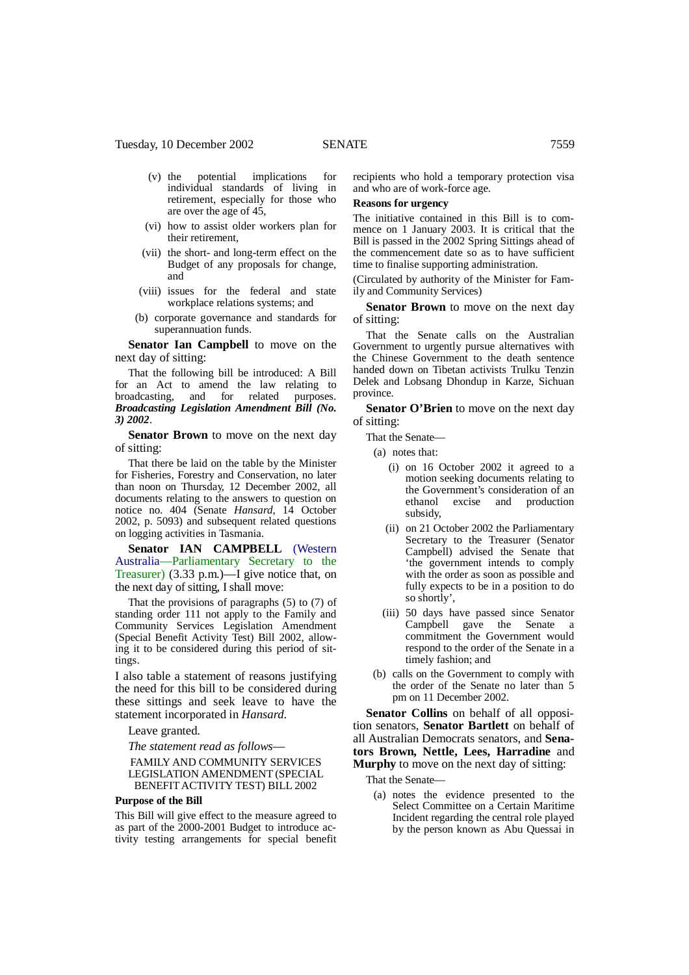- (v) the potential implications for individual standards of living in retirement, especially for those who are over the age of 45,
- (vi) how to assist older workers plan for their retirement,
- (vii) the short- and long-term effect on the Budget of any proposals for change, and
- (viii) issues for the federal and state workplace relations systems; and
- (b) corporate governance and standards for superannuation funds.

**Senator Ian Campbell** to move on the next day of sitting:

That the following bill be introduced: A Bill for an Act to amend the law relating to broadcasting, and for related purposes. *Broadcasting Legislation Amendment Bill (No. 3) 2002*.

**Senator Brown** to move on the next day of sitting:

That there be laid on the table by the Minister for Fisheries, Forestry and Conservation, no later than noon on Thursday, 12 December 2002, all documents relating to the answers to question on notice no. 404 (Senate *Hansard*, 14 October 2002, p. 5093) and subsequent related questions on logging activities in Tasmania.

**Senator IAN CAMPBELL** (Western Australia—Parliamentary Secretary to the Treasurer) (3.33 p.m.)—I give notice that, on the next day of sitting, I shall move:

That the provisions of paragraphs (5) to (7) of standing order 111 not apply to the Family and Community Services Legislation Amendment (Special Benefit Activity Test) Bill 2002, allowing it to be considered during this period of sittings.

I also table a statement of reasons justifying the need for this bill to be considered during these sittings and seek leave to have the statement incorporated in *Hansard*.

#### Leave granted.

*The statement read as follows*— FAMILY AND COMMUNITY SERVICES LEGISLATION AMENDMENT (SPECIAL BENEFIT ACTIVITY TEST) BILL 2002

#### **Purpose of the Bill**

This Bill will give effect to the measure agreed to as part of the 2000-2001 Budget to introduce activity testing arrangements for special benefit recipients who hold a temporary protection visa and who are of work-force age.

# **Reasons for urgency**

The initiative contained in this Bill is to commence on 1 January 2003. It is critical that the Bill is passed in the 2002 Spring Sittings ahead of the commencement date so as to have sufficient time to finalise supporting administration.

(Circulated by authority of the Minister for Family and Community Services)

**Senator Brown** to move on the next day of sitting:

That the Senate calls on the Australian Government to urgently pursue alternatives with the Chinese Government to the death sentence handed down on Tibetan activists Trulku Tenzin Delek and Lobsang Dhondup in Karze, Sichuan province.

**Senator O'Brien** to move on the next day of sitting:

That the Senate—

(a) notes that:

- (i) on 16 October 2002 it agreed to a motion seeking documents relating to the Government's consideration of an ethanol excise and production subsidy,
- (ii) on 21 October 2002 the Parliamentary Secretary to the Treasurer (Senator Campbell) advised the Senate that 'the government intends to comply with the order as soon as possible and fully expects to be in a position to do so shortly',
- (iii) 50 days have passed since Senator Campbell gave the Senate a commitment the Government would respond to the order of the Senate in a timely fashion; and
- (b) calls on the Government to comply with the order of the Senate no later than 5 pm on 11 December 2002.

**Senator Collins** on behalf of all opposition senators, **Senator Bartlett** on behalf of all Australian Democrats senators, and **Senators Brown, Nettle, Lees, Harradine** and **Murphy** to move on the next day of sitting:

That the Senate—

(a) notes the evidence presented to the Select Committee on a Certain Maritime Incident regarding the central role played by the person known as Abu Quessai in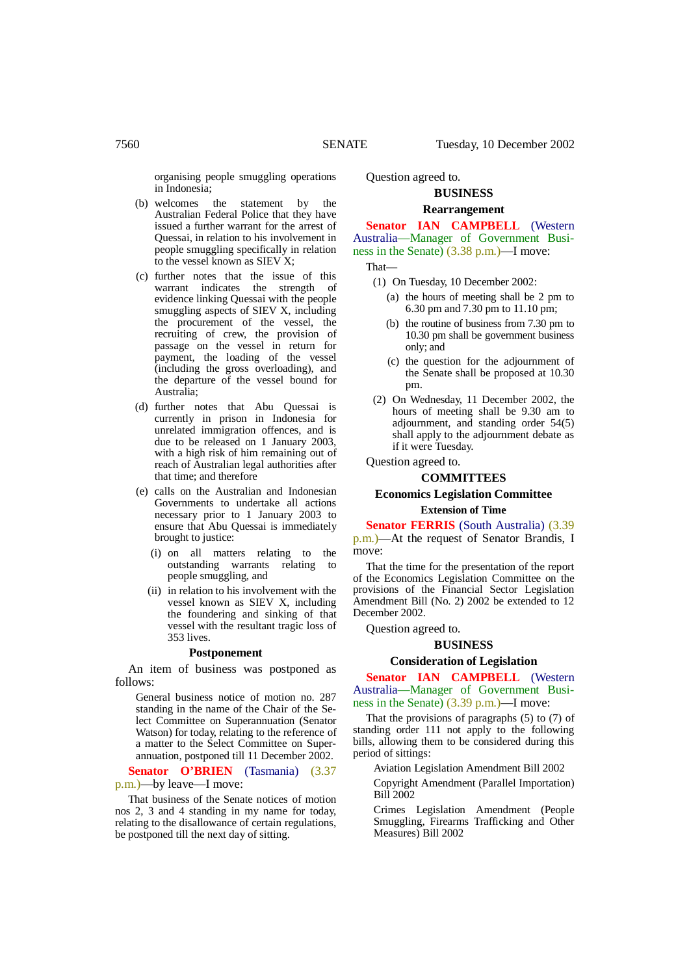organising people smuggling operations in Indonesia;

- (b) welcomes the statement by the Australian Federal Police that they have issued a further warrant for the arrest of Quessai, in relation to his involvement in people smuggling specifically in relation to the vessel known as SIEV X;
- (c) further notes that the issue of this warrant indicates the strength of evidence linking Quessai with the people smuggling aspects of SIEV X, including the procurement of the vessel, the recruiting of crew, the provision of passage on the vessel in return for payment, the loading of the vessel (including the gross overloading), and the departure of the vessel bound for Australia;
- (d) further notes that Abu Quessai is currently in prison in Indonesia for unrelated immigration offences, and is due to be released on 1 January 2003, with a high risk of him remaining out of reach of Australian legal authorities after that time; and therefore
- (e) calls on the Australian and Indonesian Governments to undertake all actions necessary prior to 1 January 2003 to ensure that Abu Quessai is immediately brought to justice:
	- (i) on all matters relating to the outstanding warrants relating to people smuggling, and
	- (ii) in relation to his involvement with the vessel known as SIEV X, including the foundering and sinking of that vessel with the resultant tragic loss of 353 lives.

#### **Postponement**

An item of business was postponed as follows:

General business notice of motion no. 287 standing in the name of the Chair of the Select Committee on Superannuation (Senator Watson) for today, relating to the reference of a matter to the Select Committee on Superannuation, postponed till 11 December 2002.

**Senator O'BRIEN** (Tasmania) (3.37 p.m.)—by leave—I move:

That business of the Senate notices of motion nos 2, 3 and 4 standing in my name for today, relating to the disallowance of certain regulations, be postponed till the next day of sitting.

Question agreed to.

## **BUSINESS**

#### **Rearrangement**

**Senator IAN CAMPBELL** (Western Australia—Manager of Government Business in the Senate) (3.38 p.m.)—I move:

That—

- (1) On Tuesday, 10 December 2002:
	- (a) the hours of meeting shall be 2 pm to 6.30 pm and 7.30 pm to 11.10 pm;
	- (b) the routine of business from 7.30 pm to 10.30 pm shall be government business only; and
	- (c) the question for the adjournment of the Senate shall be proposed at 10.30 pm.
- (2) On Wednesday, 11 December 2002, the hours of meeting shall be 9.30 am to adjournment, and standing order 54(5) shall apply to the adjournment debate as if it were Tuesday.

Question agreed to.

#### **COMMITTEES**

# **Economics Legislation Committee Extension of Time**

**Senator FERRIS** (South Australia) (3.39) p.m.)—At the request of Senator Brandis, I move:

That the time for the presentation of the report of the Economics Legislation Committee on the provisions of the Financial Sector Legislation Amendment Bill (No. 2) 2002 be extended to 12 December 2002.

Question agreed to.

# **BUSINESS**

#### **Consideration of Legislation**

**Senator IAN CAMPBELL** (Western Australia—Manager of Government Business in the Senate) (3.39 p.m.)—I move:

That the provisions of paragraphs (5) to (7) of standing order 111 not apply to the following bills, allowing them to be considered during this period of sittings:

Aviation Legislation Amendment Bill 2002

Copyright Amendment (Parallel Importation) Bill 2002

Crimes Legislation Amendment (People Smuggling, Firearms Trafficking and Other Measures) Bill 2002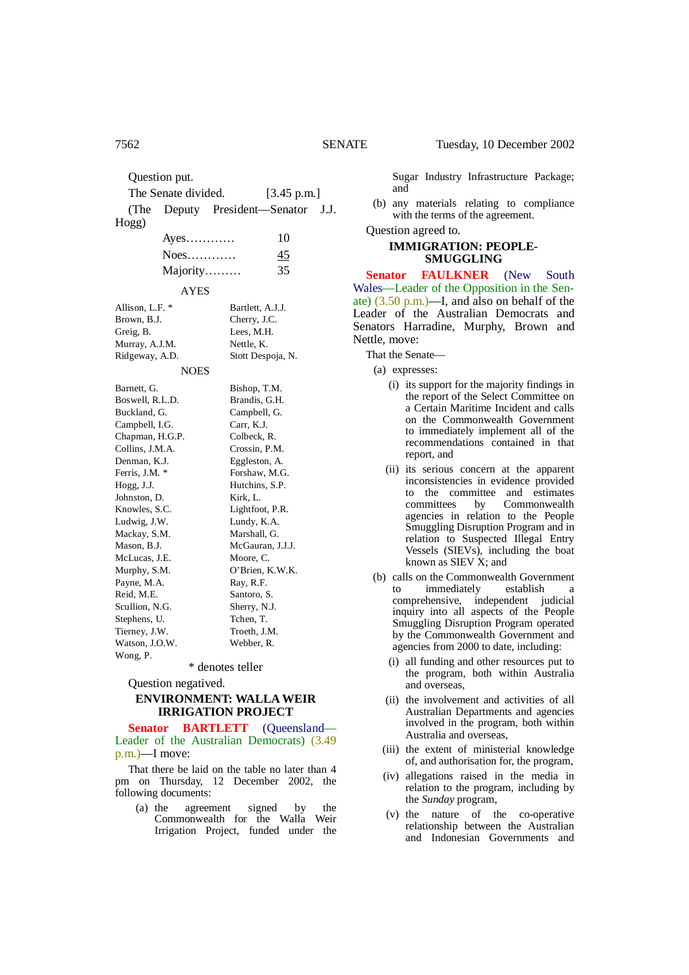Question put. The Senate divided. [3.45 p.m.] (The Deputy President—Senator J.J. Hogg) Ayes………… 10 Noes………… 45 Majority……… 35 AYES Allison, L.F. \* Bartlett, A.J.J. Brown, B.J. Cherry, J.C. Greig, B. Lees, M.H. Murray, A.J.M. Nettle, K. Ridgeway, A.D. Stott Despoja, N. **NOES** Barnett, G. Bishop, T.M. Boswell, R.L.D. Brandis, G.H.

| Danieli, O.     | DISHOP, 1.171.   |
|-----------------|------------------|
| Boswell, R.L.D. | Brandis, G.H.    |
| Buckland, G.    | Campbell, G.     |
| Campbell, I.G.  | Carr, K.J.       |
| Chapman, H.G.P. | Colbeck, R.      |
| Collins, J.M.A. | Crossin, P.M.    |
| Denman, K.J.    | Eggleston, A.    |
| Ferris, J.M. *  | Forshaw, M.G.    |
| Hogg, J.J.      | Hutchins, S.P.   |
| Johnston, D.    | Kirk, L.         |
| Knowles, S.C.   | Lightfoot, P.R.  |
| Ludwig, J.W.    | Lundy, K.A.      |
| Mackay, S.M.    | Marshall, G.     |
| Mason, B.J.     | McGauran, J.J.J. |
| McLucas, J.E.   | Moore, C.        |
| Murphy, S.M.    | O'Brien, K.W.K.  |
| Payne, M.A.     | Ray, R.F.        |
| Reid, M.E.      | Santoro, S.      |
| Scullion, N.G.  | Sherry, N.J.     |
| Stephens, U.    | Tchen, T.        |
| Tierney, J.W.   | Troeth, J.M.     |
| Watson, J.O.W.  | Webber, R.       |

\* denotes teller

Question negatived.

Wong, P.

### **ENVIRONMENT: WALLA WEIR IRRIGATION PROJECT**

**Senator BARTLETT** (Queensland— Leader of the Australian Democrats) (3.49 p.m.)—I move:

That there be laid on the table no later than 4 pm on Thursday, 12 December 2002, the following documents:

(a) the agreement signed by the Commonwealth for the Walla Weir Irrigation Project, funded under the Sugar Industry Infrastructure Package; and

(b) any materials relating to compliance with the terms of the agreement.

Question agreed to.

# **IMMIGRATION: PEOPLE-SMUGGLING**

**Senator FAULKNER** (New South Wales—Leader of the Opposition in the Senate) (3.50 p.m.)—I, and also on behalf of the Leader of the Australian Democrats and Senators Harradine, Murphy, Brown and Nettle, move:

That the Senate—

(a) expresses:

- (i) its support for the majority findings in the report of the Select Committee on a Certain Maritime Incident and calls on the Commonwealth Government to immediately implement all of the recommendations contained in that report, and
- (ii) its serious concern at the apparent inconsistencies in evidence provided to the committee and estimates<br>committees by Commonwealth Commonwealth agencies in relation to the People Smuggling Disruption Program and in relation to Suspected Illegal Entry Vessels (SIEVs), including the boat known as  $SIEVX$ ; and
- (b) calls on the Commonwealth Government<br>to immediately establish a to immediately establish a comprehensive, independent judicial inquiry into all aspects of the People Smuggling Disruption Program operated by the Commonwealth Government and agencies from 2000 to date, including:
	- (i) all funding and other resources put to the program, both within Australia and overseas,
	- (ii) the involvement and activities of all Australian Departments and agencies involved in the program, both within Australia and overseas,
	- (iii) the extent of ministerial knowledge of, and authorisation for, the program,
	- (iv) allegations raised in the media in relation to the program, including by the *Sunday* program,
	- (v) the nature of the co-operative relationship between the Australian and Indonesian Governments and